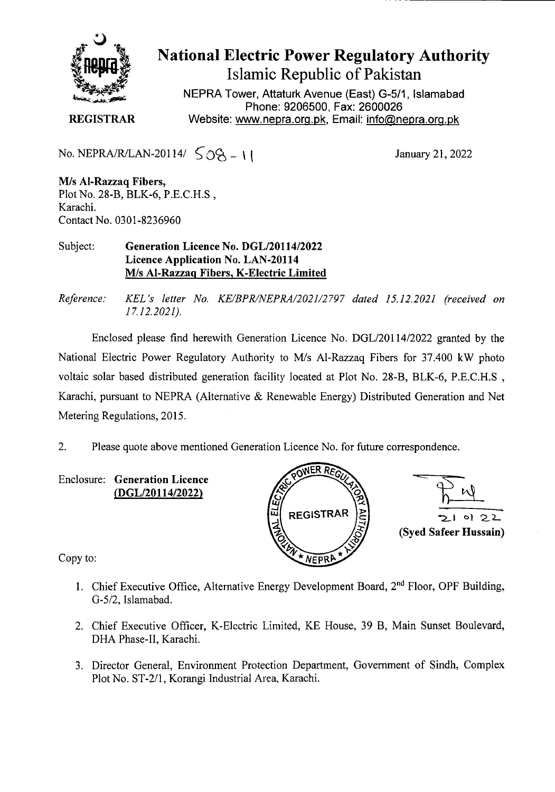

National Electric Power Regulatory Authority Islamic Republic of Pakistan

NEPRA Tower, Attaturk Avenue (East) G-511, Islamabad Phone: 9206500, Fax: 2600026 **REGISTRAR** Website: www.nepra.org.pk, Email: info@nepra.org.pk

No. NEPRA/R/LAN-20114/ $\zeta_0$   $\zeta_0$  - 11

January 21, 2022

**M/s** Al**-Razzaq Fibers,**  Plot No. 28-B, BLK-6, P.E.C.H.S, Karachi. Contact No. 0301-8236960

Subject: **Generation Licence No. DGL/20114/2022 Licence Application No.** LAN-20114 **M/s Al-Razzaq Fibers, K-Electric Limited** 

*Reference: KEL 's letter No. KE/BPRINEPRA/2021/2797 dated 15.12.202! (received on 17.12.2021).* 

Enclosed please find herewith Generation Licence No. DGL/201 14/2022 granted by the National Electric Power Regulatory Authority to M/s A1-Razzaq Fibers for 37.400 kW photo voltaic solar based distributed generation facility located at Plot No. 28-B, BLK-6, P.E.C.H.S, Karachi, pursuant to NEPRA (Alternative & Renewable Energy) Distributed Generation and Net Metering Regulations, 2015.

2. Please quote above mentioned Generation Licence No. for future correspondence.

**Enclosure: Generation Licence (DGL/20114/2022)** 





Copy to:

- 1. Chief Executive Office, Alternative Energy Development Board, 2<sup>nd</sup> Floor, OPF Building, G-5/2, Islamabad.
- 2. Chief Executive Officer, K-Electric Limited, KE House, 39 B, Main Sunset Boulevard, DHA Phase-Il, Karachi.
- 3. Director General, Environment Protection Department, Government of Sindh, Complex Plot No. ST-2/1, Korangi Industrial Area, Karachi.